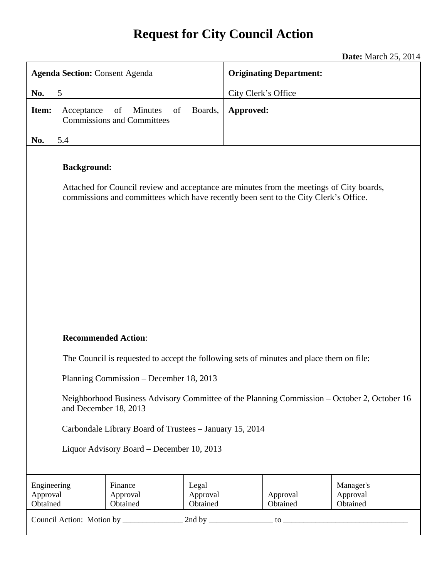# **Request for City Council Action**

**Date:** March 25, 2014

| <b>Agenda Section: Consent Agenda</b>                                                                                                                                                                  |                                                                                          | <b>Originating Department:</b> |                     |                      |                                   |
|--------------------------------------------------------------------------------------------------------------------------------------------------------------------------------------------------------|------------------------------------------------------------------------------------------|--------------------------------|---------------------|----------------------|-----------------------------------|
| 5<br>No.                                                                                                                                                                                               |                                                                                          |                                | City Clerk's Office |                      |                                   |
| Item:<br>Acceptance                                                                                                                                                                                    | of<br><b>Minutes</b><br>of<br><b>Commissions and Committees</b>                          | Boards,                        | Approved:           |                      |                                   |
| 5.4<br>No.                                                                                                                                                                                             |                                                                                          |                                |                     |                      |                                   |
| <b>Background:</b><br>Attached for Council review and acceptance are minutes from the meetings of City boards,<br>commissions and committees which have recently been sent to the City Clerk's Office. |                                                                                          |                                |                     |                      |                                   |
| <b>Recommended Action:</b>                                                                                                                                                                             |                                                                                          |                                |                     |                      |                                   |
|                                                                                                                                                                                                        | The Council is requested to accept the following sets of minutes and place them on file: |                                |                     |                      |                                   |
| Planning Commission – December 18, 2013                                                                                                                                                                |                                                                                          |                                |                     |                      |                                   |
| Neighborhood Business Advisory Committee of the Planning Commission - October 2, October 16<br>and December 18, 2013                                                                                   |                                                                                          |                                |                     |                      |                                   |
| Carbondale Library Board of Trustees - January 15, 2014                                                                                                                                                |                                                                                          |                                |                     |                      |                                   |
| Liquor Advisory Board – December 10, 2013                                                                                                                                                              |                                                                                          |                                |                     |                      |                                   |
| Engineering<br>Approval<br>Obtained                                                                                                                                                                    | Finance<br>Approval<br>Obtained                                                          | Legal<br>Approval<br>Obtained  |                     | Approval<br>Obtained | Manager's<br>Approval<br>Obtained |
|                                                                                                                                                                                                        |                                                                                          |                                |                     |                      |                                   |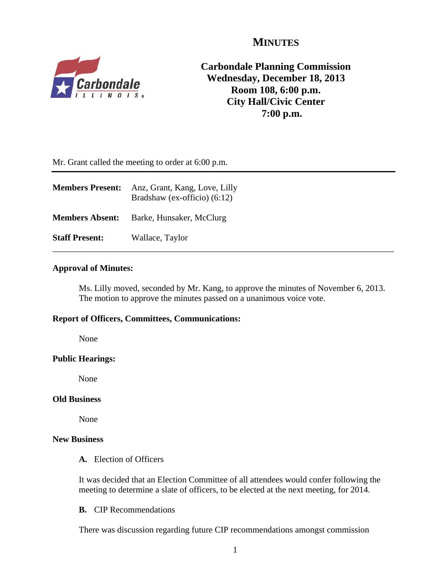## **MINUTES**



**Carbondale Planning Commission Wednesday, December 18, 2013 Room 108, 6:00 p.m. City Hall/Civic Center 7:00 p.m.**

Mr. Grant called the meeting to order at 6:00 p.m.

| <b>Members Present:</b> | Anz, Grant, Kang, Love, Lilly<br>Bradshaw (ex-officio) $(6:12)$ |
|-------------------------|-----------------------------------------------------------------|
| <b>Members Absent:</b>  | Barke, Hunsaker, McClurg                                        |
| <b>Staff Present:</b>   | Wallace, Taylor                                                 |

## **Approval of Minutes:**

Ms. Lilly moved, seconded by Mr. Kang, to approve the minutes of November 6, 2013. The motion to approve the minutes passed on a unanimous voice vote.

## **Report of Officers, Committees, Communications:**

None

#### **Public Hearings:**

None

### **Old Business**

None

## **New Business**

**A.** Election of Officers

It was decided that an Election Committee of all attendees would confer following the meeting to determine a slate of officers, to be elected at the next meeting, for 2014.

**B.** CIP Recommendations

There was discussion regarding future CIP recommendations amongst commission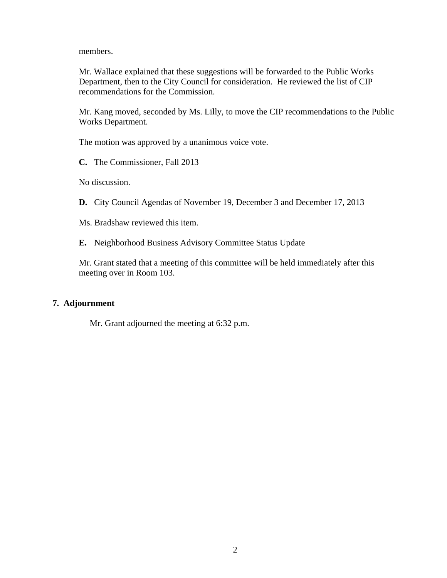members.

Mr. Wallace explained that these suggestions will be forwarded to the Public Works Department, then to the City Council for consideration. He reviewed the list of CIP recommendations for the Commission.

Mr. Kang moved, seconded by Ms. Lilly, to move the CIP recommendations to the Public Works Department.

The motion was approved by a unanimous voice vote.

**C.** The Commissioner, Fall 2013

No discussion.

**D.** City Council Agendas of November 19, December 3 and December 17, 2013

Ms. Bradshaw reviewed this item.

**E.** Neighborhood Business Advisory Committee Status Update

Mr. Grant stated that a meeting of this committee will be held immediately after this meeting over in Room 103.

## **7. Adjournment**

Mr. Grant adjourned the meeting at 6:32 p.m.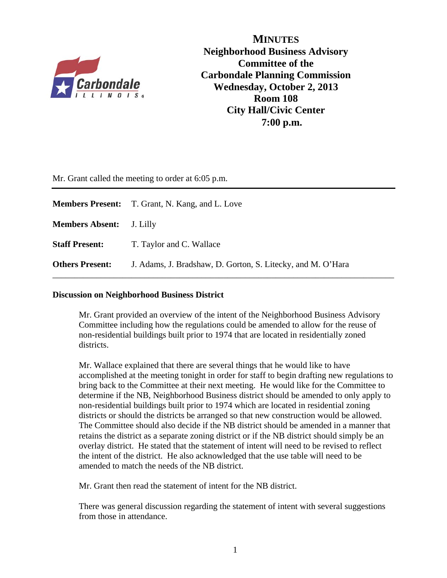

**MINUTES Neighborhood Business Advisory Committee of the Carbondale Planning Commission Wednesday, October 2, 2013 Room 108 City Hall/Civic Center 7:00 p.m.**

Mr. Grant called the meeting to order at 6:05 p.m.

|                                 | <b>Members Present:</b> T. Grant, N. Kang, and L. Love      |
|---------------------------------|-------------------------------------------------------------|
| <b>Members Absent:</b> J. Lilly |                                                             |
| <b>Staff Present:</b>           | T. Taylor and C. Wallace                                    |
| <b>Others Present:</b>          | J. Adams, J. Bradshaw, D. Gorton, S. Litecky, and M. O'Hara |

#### **Discussion on Neighborhood Business District**

Mr. Grant provided an overview of the intent of the Neighborhood Business Advisory Committee including how the regulations could be amended to allow for the reuse of non-residential buildings built prior to 1974 that are located in residentially zoned districts.

Mr. Wallace explained that there are several things that he would like to have accomplished at the meeting tonight in order for staff to begin drafting new regulations to bring back to the Committee at their next meeting. He would like for the Committee to determine if the NB, Neighborhood Business district should be amended to only apply to non-residential buildings built prior to 1974 which are located in residential zoning districts or should the districts be arranged so that new construction would be allowed. The Committee should also decide if the NB district should be amended in a manner that retains the district as a separate zoning district or if the NB district should simply be an overlay district. He stated that the statement of intent will need to be revised to reflect the intent of the district. He also acknowledged that the use table will need to be amended to match the needs of the NB district.

Mr. Grant then read the statement of intent for the NB district.

There was general discussion regarding the statement of intent with several suggestions from those in attendance.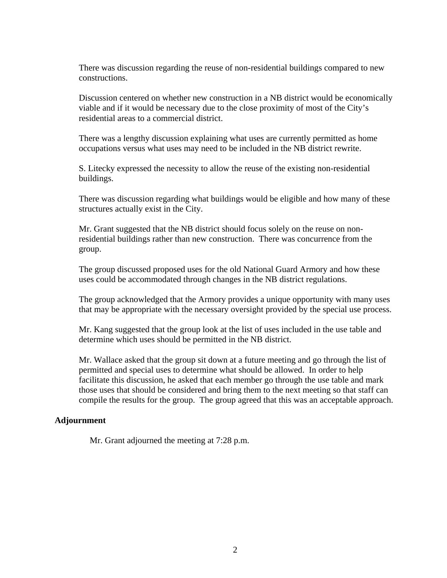There was discussion regarding the reuse of non-residential buildings compared to new constructions.

Discussion centered on whether new construction in a NB district would be economically viable and if it would be necessary due to the close proximity of most of the City's residential areas to a commercial district.

There was a lengthy discussion explaining what uses are currently permitted as home occupations versus what uses may need to be included in the NB district rewrite.

S. Litecky expressed the necessity to allow the reuse of the existing non-residential buildings.

There was discussion regarding what buildings would be eligible and how many of these structures actually exist in the City.

Mr. Grant suggested that the NB district should focus solely on the reuse on nonresidential buildings rather than new construction. There was concurrence from the group.

The group discussed proposed uses for the old National Guard Armory and how these uses could be accommodated through changes in the NB district regulations.

The group acknowledged that the Armory provides a unique opportunity with many uses that may be appropriate with the necessary oversight provided by the special use process.

Mr. Kang suggested that the group look at the list of uses included in the use table and determine which uses should be permitted in the NB district.

Mr. Wallace asked that the group sit down at a future meeting and go through the list of permitted and special uses to determine what should be allowed. In order to help facilitate this discussion, he asked that each member go through the use table and mark those uses that should be considered and bring them to the next meeting so that staff can compile the results for the group. The group agreed that this was an acceptable approach.

## **Adjournment**

Mr. Grant adjourned the meeting at 7:28 p.m.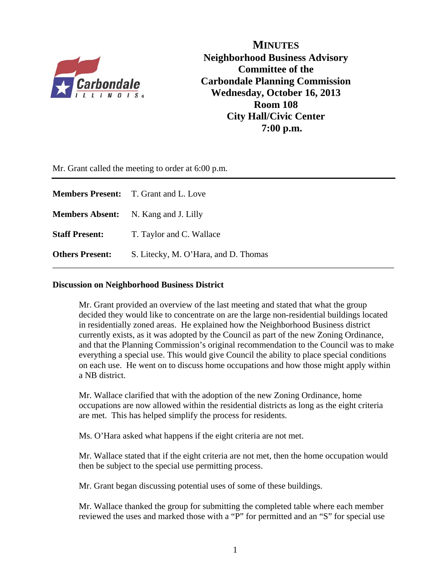

**MINUTES Neighborhood Business Advisory Committee of the Carbondale Planning Commission Wednesday, October 16, 2013 Room 108 City Hall/Civic Center 7:00 p.m.**

Mr. Grant called the meeting to order at 6:00 p.m.

|                        | <b>Members Present:</b> T. Grant and L. Love |
|------------------------|----------------------------------------------|
|                        | <b>Members Absent:</b> N. Kang and J. Lilly  |
| <b>Staff Present:</b>  | T. Taylor and C. Wallace                     |
| <b>Others Present:</b> | S. Litecky, M. O'Hara, and D. Thomas         |

#### **Discussion on Neighborhood Business District**

Mr. Grant provided an overview of the last meeting and stated that what the group decided they would like to concentrate on are the large non-residential buildings located in residentially zoned areas. He explained how the Neighborhood Business district currently exists, as it was adopted by the Council as part of the new Zoning Ordinance, and that the Planning Commission's original recommendation to the Council was to make everything a special use. This would give Council the ability to place special conditions on each use. He went on to discuss home occupations and how those might apply within a NB district.

 Mr. Wallace clarified that with the adoption of the new Zoning Ordinance, home occupations are now allowed within the residential districts as long as the eight criteria are met. This has helped simplify the process for residents.

Ms. O'Hara asked what happens if the eight criteria are not met.

 Mr. Wallace stated that if the eight criteria are not met, then the home occupation would then be subject to the special use permitting process.

Mr. Grant began discussing potential uses of some of these buildings.

 Mr. Wallace thanked the group for submitting the completed table where each member reviewed the uses and marked those with a "P" for permitted and an "S" for special use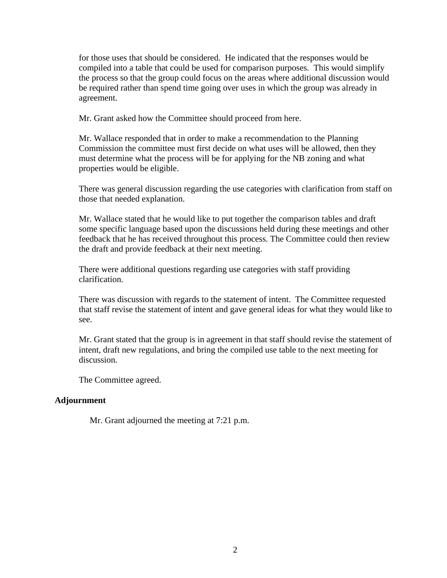for those uses that should be considered. He indicated that the responses would be compiled into a table that could be used for comparison purposes. This would simplify the process so that the group could focus on the areas where additional discussion would be required rather than spend time going over uses in which the group was already in agreement.

Mr. Grant asked how the Committee should proceed from here.

 Mr. Wallace responded that in order to make a recommendation to the Planning Commission the committee must first decide on what uses will be allowed, then they must determine what the process will be for applying for the NB zoning and what properties would be eligible.

 There was general discussion regarding the use categories with clarification from staff on those that needed explanation.

 Mr. Wallace stated that he would like to put together the comparison tables and draft some specific language based upon the discussions held during these meetings and other feedback that he has received throughout this process. The Committee could then review the draft and provide feedback at their next meeting.

 There were additional questions regarding use categories with staff providing clarification.

 There was discussion with regards to the statement of intent. The Committee requested that staff revise the statement of intent and gave general ideas for what they would like to see.

 Mr. Grant stated that the group is in agreement in that staff should revise the statement of intent, draft new regulations, and bring the compiled use table to the next meeting for discussion.

The Committee agreed.

#### **Adjournment**

Mr. Grant adjourned the meeting at 7:21 p.m.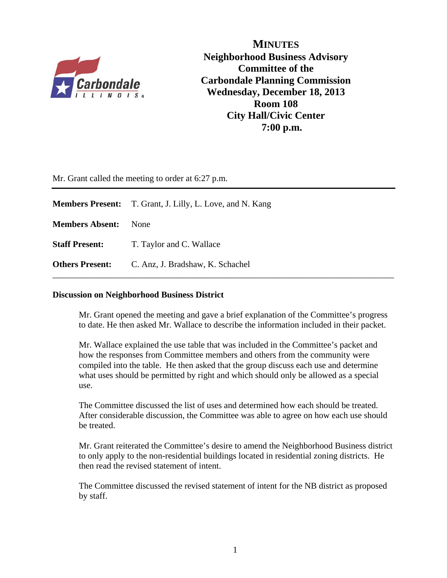

**MINUTES Neighborhood Business Advisory Committee of the Carbondale Planning Commission Wednesday, December 18, 2013 Room 108 City Hall/Civic Center 7:00 p.m.**

Mr. Grant called the meeting to order at 6:27 p.m.

|                        | <b>Members Present:</b> T. Grant, J. Lilly, L. Love, and N. Kang |
|------------------------|------------------------------------------------------------------|
| <b>Members Absent:</b> | <b>None</b>                                                      |
| <b>Staff Present:</b>  | T. Taylor and C. Wallace                                         |
| <b>Others Present:</b> | C. Anz, J. Bradshaw, K. Schachel                                 |

#### **Discussion on Neighborhood Business District**

Mr. Grant opened the meeting and gave a brief explanation of the Committee's progress to date. He then asked Mr. Wallace to describe the information included in their packet.

 Mr. Wallace explained the use table that was included in the Committee's packet and how the responses from Committee members and others from the community were compiled into the table. He then asked that the group discuss each use and determine what uses should be permitted by right and which should only be allowed as a special use.

 The Committee discussed the list of uses and determined how each should be treated. After considerable discussion, the Committee was able to agree on how each use should be treated.

 Mr. Grant reiterated the Committee's desire to amend the Neighborhood Business district to only apply to the non-residential buildings located in residential zoning districts. He then read the revised statement of intent.

 The Committee discussed the revised statement of intent for the NB district as proposed by staff.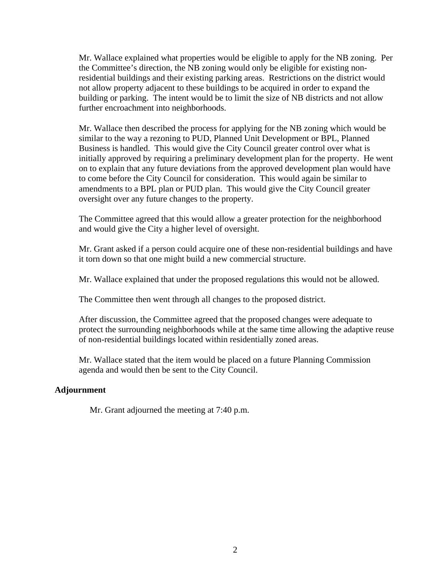Mr. Wallace explained what properties would be eligible to apply for the NB zoning. Per the Committee's direction, the NB zoning would only be eligible for existing nonresidential buildings and their existing parking areas. Restrictions on the district would not allow property adjacent to these buildings to be acquired in order to expand the building or parking. The intent would be to limit the size of NB districts and not allow further encroachment into neighborhoods.

 Mr. Wallace then described the process for applying for the NB zoning which would be similar to the way a rezoning to PUD, Planned Unit Development or BPL, Planned Business is handled. This would give the City Council greater control over what is initially approved by requiring a preliminary development plan for the property. He went on to explain that any future deviations from the approved development plan would have to come before the City Council for consideration. This would again be similar to amendments to a BPL plan or PUD plan. This would give the City Council greater oversight over any future changes to the property.

 The Committee agreed that this would allow a greater protection for the neighborhood and would give the City a higher level of oversight.

 Mr. Grant asked if a person could acquire one of these non-residential buildings and have it torn down so that one might build a new commercial structure.

Mr. Wallace explained that under the proposed regulations this would not be allowed.

The Committee then went through all changes to the proposed district.

 After discussion, the Committee agreed that the proposed changes were adequate to protect the surrounding neighborhoods while at the same time allowing the adaptive reuse of non-residential buildings located within residentially zoned areas.

 Mr. Wallace stated that the item would be placed on a future Planning Commission agenda and would then be sent to the City Council.

## **Adjournment**

Mr. Grant adjourned the meeting at 7:40 p.m.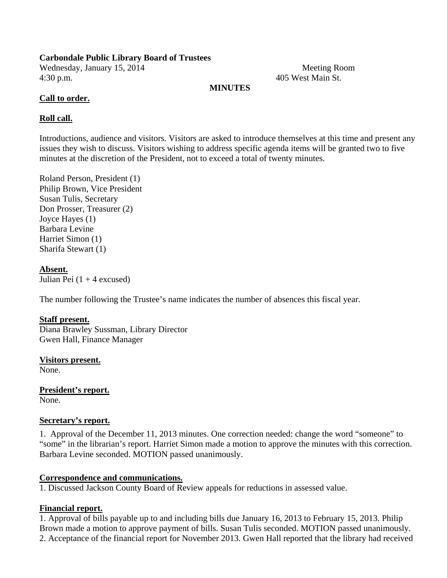## **Carbondale Public Library Board of Trustees**

Wednesday, January 15, 2014 Meeting Room 4:30 p.m. 405 West Main St.

## **MINUTES**

## **Call to order.**

## **Roll call.**

Introductions, audience and visitors. Visitors are asked to introduce themselves at this time and present any issues they wish to discuss. Visitors wishing to address specific agenda items will be granted two to five minutes at the discretion of the President, not to exceed a total of twenty minutes.

Roland Person, President (1) Philip Brown, Vice President Susan Tulis, Secretary Don Prosser, Treasurer (2) Joyce Hayes (1) Barbara Levine Harriet Simon (1) Sharifa Stewart (1)

**Absent.**  Julian Pei  $(1 + 4$  excused)

The number following the Trustee's name indicates the number of absences this fiscal year.

## **Staff present.**

Diana Brawley Sussman, Library Director Gwen Hall, Finance Manager

**Visitors present.**  None.

**President's report.**  None.

## **Secretary's report.**

1. Approval of the December 11, 2013 minutes. One correction needed: change the word "someone" to "some" in the librarian's report. Harriet Simon made a motion to approve the minutes with this correction. Barbara Levine seconded. MOTION passed unanimously.

## **Correspondence and communications.**

1. Discussed Jackson County Board of Review appeals for reductions in assessed value.

## **Financial report.**

1. Approval of bills payable up to and including bills due January 16, 2013 to February 15, 2013. Philip Brown made a motion to approve payment of bills. Susan Tulis seconded. MOTION passed unanimously. 2. Acceptance of the financial report for November 2013. Gwen Hall reported that the library had received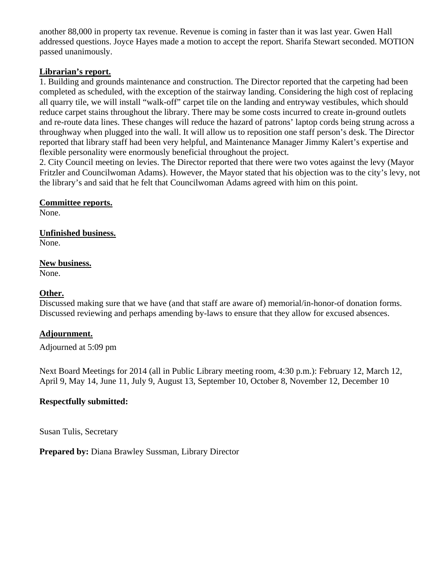another 88,000 in property tax revenue. Revenue is coming in faster than it was last year. Gwen Hall addressed questions. Joyce Hayes made a motion to accept the report. Sharifa Stewart seconded. MOTION passed unanimously.

## **Librarian's report.**

1. Building and grounds maintenance and construction. The Director reported that the carpeting had been completed as scheduled, with the exception of the stairway landing. Considering the high cost of replacing all quarry tile, we will install "walk-off" carpet tile on the landing and entryway vestibules, which should reduce carpet stains throughout the library. There may be some costs incurred to create in-ground outlets and re-route data lines. These changes will reduce the hazard of patrons' laptop cords being strung across a throughway when plugged into the wall. It will allow us to reposition one staff person's desk. The Director reported that library staff had been very helpful, and Maintenance Manager Jimmy Kalert's expertise and flexible personality were enormously beneficial throughout the project.

2. City Council meeting on levies. The Director reported that there were two votes against the levy (Mayor Fritzler and Councilwoman Adams). However, the Mayor stated that his objection was to the city's levy, not the library's and said that he felt that Councilwoman Adams agreed with him on this point.

**Committee reports.** 

None.

**Unfinished business.**  None.

**New business.** 

None.

## **Other.**

Discussed making sure that we have (and that staff are aware of) memorial/in-honor-of donation forms. Discussed reviewing and perhaps amending by-laws to ensure that they allow for excused absences.

## **Adjournment.**

Adjourned at 5:09 pm

Next Board Meetings for 2014 (all in Public Library meeting room, 4:30 p.m.): February 12, March 12, April 9, May 14, June 11, July 9, August 13, September 10, October 8, November 12, December 10

## **Respectfully submitted:**

Susan Tulis, Secretary

**Prepared by:** Diana Brawley Sussman, Library Director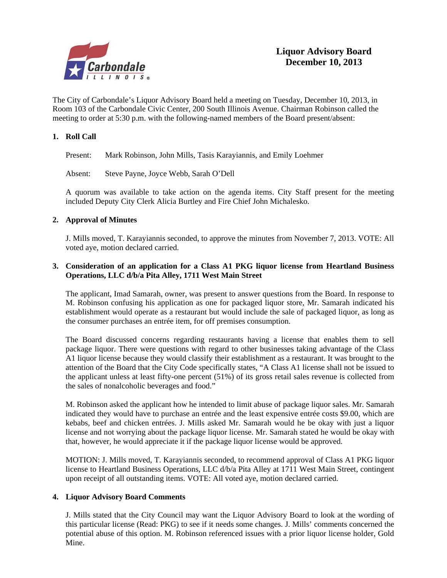

The City of Carbondale's Liquor Advisory Board held a meeting on Tuesday, December 10, 2013, in Room 103 of the Carbondale Civic Center, 200 South Illinois Avenue. Chairman Robinson called the meeting to order at 5:30 p.m. with the following-named members of the Board present/absent:

#### **1. Roll Call**

Present: Mark Robinson, John Mills, Tasis Karayiannis, and Emily Loehmer

Absent: Steve Payne, Joyce Webb, Sarah O'Dell

A quorum was available to take action on the agenda items. City Staff present for the meeting included Deputy City Clerk Alicia Burtley and Fire Chief John Michalesko.

#### **2. Approval of Minutes**

J. Mills moved, T. Karayiannis seconded, to approve the minutes from November 7, 2013. VOTE: All voted aye, motion declared carried.

#### **3. Consideration of an application for a Class A1 PKG liquor license from Heartland Business Operations, LLC d/b/a Pita Alley, 1711 West Main Street**

 The applicant, Imad Samarah, owner, was present to answer questions from the Board. In response to M. Robinson confusing his application as one for packaged liquor store, Mr. Samarah indicated his establishment would operate as a restaurant but would include the sale of packaged liquor, as long as the consumer purchases an entrée item, for off premises consumption.

 The Board discussed concerns regarding restaurants having a license that enables them to sell package liquor. There were questions with regard to other businesses taking advantage of the Class A1 liquor license because they would classify their establishment as a restaurant. It was brought to the attention of the Board that the City Code specifically states, "A Class A1 license shall not be issued to the applicant unless at least fifty-one percent (51%) of its gross retail sales revenue is collected from the sales of nonalcoholic beverages and food."

 M. Robinson asked the applicant how he intended to limit abuse of package liquor sales. Mr. Samarah indicated they would have to purchase an entrée and the least expensive entrée costs \$9.00, which are kebabs, beef and chicken entrées. J. Mills asked Mr. Samarah would he be okay with just a liquor license and not worrying about the package liquor license. Mr. Samarah stated he would be okay with that, however, he would appreciate it if the package liquor license would be approved.

 MOTION: J. Mills moved, T. Karayiannis seconded, to recommend approval of Class A1 PKG liquor license to Heartland Business Operations, LLC d/b/a Pita Alley at 1711 West Main Street, contingent upon receipt of all outstanding items. VOTE: All voted aye, motion declared carried.

#### **4. Liquor Advisory Board Comments**

J. Mills stated that the City Council may want the Liquor Advisory Board to look at the wording of this particular license (Read: PKG) to see if it needs some changes. J. Mills' comments concerned the potential abuse of this option. M. Robinson referenced issues with a prior liquor license holder, Gold Mine.